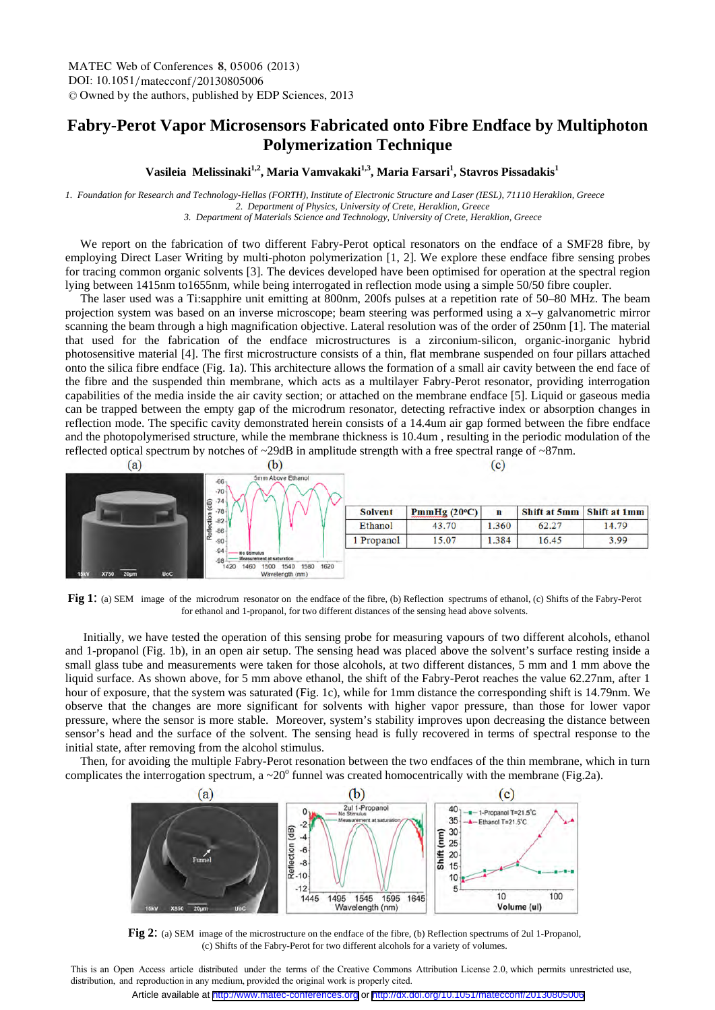## **Fabry-Perot Vapor Microsensors Fabricated onto Fibre Endface by Multiphoton Polymerization Technique**

## Vasileia Melissinaki<sup>1,2</sup>, Maria Vamvakaki<sup>1,3</sup>, Maria Farsari<sup>1</sup>, Stavros Pissadakis<sup>1</sup>

*1. Foundation for Research and Technology-Hellas (FORTH), Institute of Electronic Structure and Laser (IESL), 71110 Heraklion, Greece 2. Department of Physics, University of Crete, Heraklion, Greece 3. Department of Materials Science and Technology, University of Crete, Heraklion, Greece*

 We report on the fabrication of two different Fabry-Perot optical resonators on the endface of a SMF28 fibre, by employing Direct Laser Writing by multi-photon polymerization [1, 2]. We explore these endface fibre sensing probes for tracing common organic solvents [3]. The devices developed have been optimised for operation at the spectral region lying between 1415nm to1655nm, while being interrogated in reflection mode using a simple 50/50 fibre coupler.

 The laser used was a Ti:sapphire unit emitting at 800nm, 200fs pulses at a repetition rate of 50–80 MHz. The beam projection system was based on an inverse microscope; beam steering was performed using a x–y galvanometric mirror scanning the beam through a high magnification objective. Lateral resolution was of the order of 250nm [1]. The material that used for the fabrication of the endface microstructures is a zirconium-silicon, organic-inorganic hybrid photosensitive material [4]. The first microstructure consists of a thin, flat membrane suspended on four pillars attached onto the silica fibre endface (Fig. 1a). This architecture allows the formation of a small air cavity between the end face of the fibre and the suspended thin membrane, which acts as a multilayer Fabry-Perot resonator, providing interrogation capabilities of the media inside the air cavity section; or attached on the membrane endface [5]. Liquid or gaseous media can be trapped between the empty gap of the microdrum resonator, detecting refractive index or absorption changes in reflection mode. The specific cavity demonstrated herein consists of a 14.4um air gap formed between the fibre endface and the photopolymerised structure, while the membrane thickness is 10.4um , resulting in the periodic modulation of the reflected optical spectrum by notches of ~29dB in amplitude strength with a free spectral range of ~87nm.



**Fig 1**: (a) SEM image of the microdrum resonator on the endface of the fibre, (b) Reflection spectrums of ethanol, (c) Shifts of the Fabry-Perot for ethanol and 1-propanol, for two different distances of the sensing head above solvents.

 Initially, we have tested the operation of this sensing probe for measuring vapours of two different alcohols, ethanol and 1-propanol (Fig. 1b), in an open air setup. The sensing head was placed above the solvent's surface resting inside a small glass tube and measurements were taken for those alcohols, at two different distances, 5 mm and 1 mm above the liquid surface. As shown above, for 5 mm above ethanol, the shift of the Fabry-Perot reaches the value 62.27nm, after 1 hour of exposure, that the system was saturated (Fig. 1c), while for 1mm distance the corresponding shift is 14.79nm. We observe that the changes are more significant for solvents with higher vapor pressure, than those for lower vapor pressure, where the sensor is more stable. Moreover, system's stability improves upon decreasing the distance between sensor's head and the surface of the solvent. The sensing head is fully recovered in terms of spectral response to the initial state, after removing from the alcohol stimulus.

 Then, for avoiding the multiple Fabry-Perot resonation between the two endfaces of the thin membrane, which in turn complicates the interrogation spectrum, a  $\sim$  20 $^{\circ}$  funnel was created homocentrically with the membrane (Fig.2a).



**Fig 2**: (a) SEM image of the microstructure on the endface of the fibre, (b) Reflection spectrums of 2ul 1-Propanol, (c) Shifts of the Fabry-Perot for two different alcohols for a variety of volumes.

This is an Open Access article distributed under the terms of the Creative Commons Attribution License 2.0, which permits unrestricted use, distribution, and reproduction in any medium, provided the original work is properly cited.

Article available at <http://www.matec-conferences.org> or <http://dx.doi.org/10.1051/matecconf/20130805006>